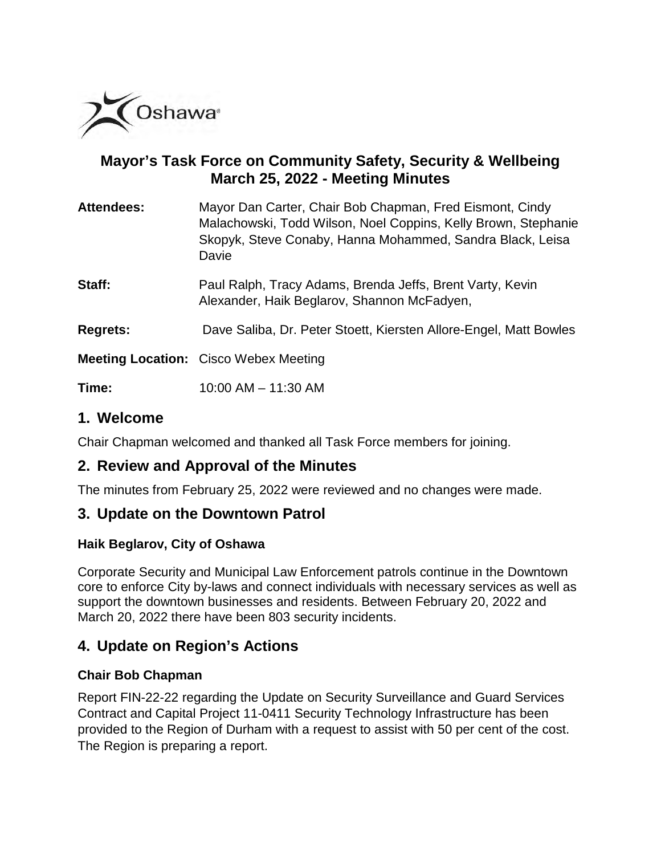

# **Mayor's Task Force on Community Safety, Security & Wellbeing March 25, 2022 - Meeting Minutes**

| <b>Attendees:</b> | Mayor Dan Carter, Chair Bob Chapman, Fred Eismont, Cindy<br>Malachowski, Todd Wilson, Noel Coppins, Kelly Brown, Stephanie<br>Skopyk, Steve Conaby, Hanna Mohammed, Sandra Black, Leisa<br>Davie |
|-------------------|--------------------------------------------------------------------------------------------------------------------------------------------------------------------------------------------------|
| Staff:            | Paul Ralph, Tracy Adams, Brenda Jeffs, Brent Varty, Kevin<br>Alexander, Haik Beglarov, Shannon McFadyen,                                                                                         |
| <b>Regrets:</b>   | Dave Saliba, Dr. Peter Stoett, Kiersten Allore-Engel, Matt Bowles                                                                                                                                |
|                   | <b>Meeting Location:</b> Cisco Webex Meeting                                                                                                                                                     |
| Time:             | $10:00$ AM $- 11:30$ AM                                                                                                                                                                          |

## **1. Welcome**

Chair Chapman welcomed and thanked all Task Force members for joining.

# **2. Review and Approval of the Minutes**

The minutes from February 25, 2022 were reviewed and no changes were made.

### **3. Update on the Downtown Patrol**

### **Haik Beglarov, City of Oshawa**

Corporate Security and Municipal Law Enforcement patrols continue in the Downtown core to enforce City by-laws and connect individuals with necessary services as well as support the downtown businesses and residents. Between February 20, 2022 and March 20, 2022 there have been 803 security incidents.

# **4. Update on Region's Actions**

### **Chair Bob Chapman**

Report FIN-22-22 regarding the Update on Security Surveillance and Guard Services Contract and Capital Project 11-0411 Security Technology Infrastructure has been provided to the Region of Durham with a request to assist with 50 per cent of the cost. The Region is preparing a report.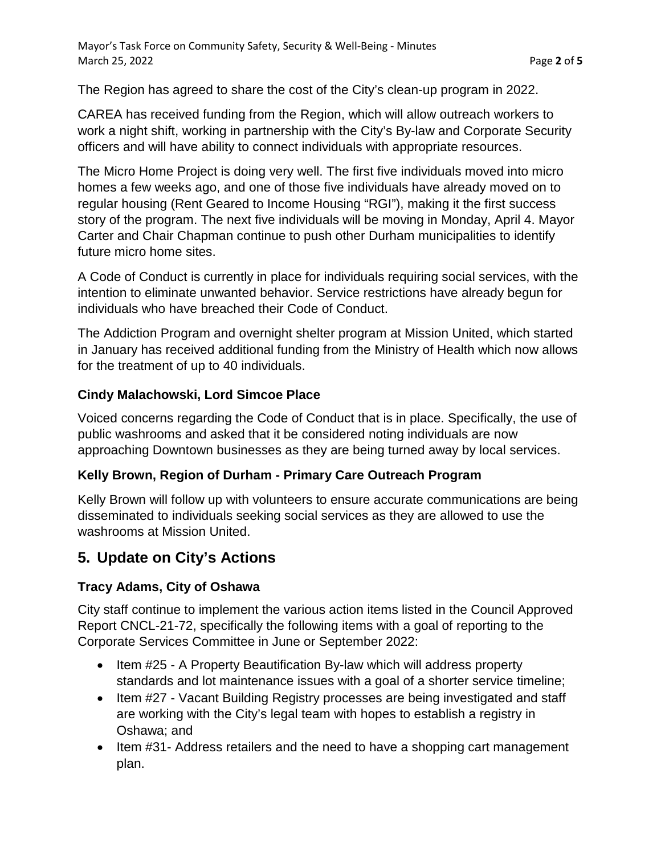The Region has agreed to share the cost of the City's clean-up program in 2022.

CAREA has received funding from the Region, which will allow outreach workers to work a night shift, working in partnership with the City's By-law and Corporate Security officers and will have ability to connect individuals with appropriate resources.

The Micro Home Project is doing very well. The first five individuals moved into micro homes a few weeks ago, and one of those five individuals have already moved on to regular housing (Rent Geared to Income Housing "RGI"), making it the first success story of the program. The next five individuals will be moving in Monday, April 4. Mayor Carter and Chair Chapman continue to push other Durham municipalities to identify future micro home sites.

A Code of Conduct is currently in place for individuals requiring social services, with the intention to eliminate unwanted behavior. Service restrictions have already begun for individuals who have breached their Code of Conduct.

The Addiction Program and overnight shelter program at Mission United, which started in January has received additional funding from the Ministry of Health which now allows for the treatment of up to 40 individuals.

### **Cindy Malachowski, Lord Simcoe Place**

Voiced concerns regarding the Code of Conduct that is in place. Specifically, the use of public washrooms and asked that it be considered noting individuals are now approaching Downtown businesses as they are being turned away by local services.

### **Kelly Brown, Region of Durham - Primary Care Outreach Program**

Kelly Brown will follow up with volunteers to ensure accurate communications are being disseminated to individuals seeking social services as they are allowed to use the washrooms at Mission United.

# **5. Update on City's Actions**

### **Tracy Adams, City of Oshawa**

City staff continue to implement the various action items listed in the Council Approved Report CNCL-21-72, specifically the following items with a goal of reporting to the Corporate Services Committee in June or September 2022:

- Item #25 A Property Beautification By-law which will address property standards and lot maintenance issues with a goal of a shorter service timeline;
- Item #27 Vacant Building Registry processes are being investigated and staff are working with the City's legal team with hopes to establish a registry in Oshawa; and
- Item #31- Address retailers and the need to have a shopping cart management plan.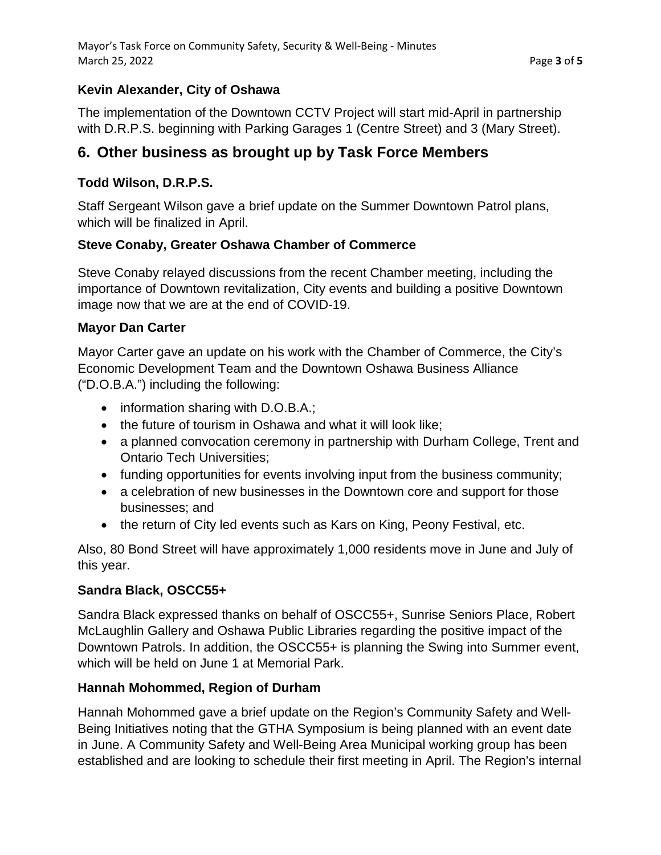### **Kevin Alexander, City of Oshawa**

The implementation of the Downtown CCTV Project will start mid-April in partnership with D.R.P.S. beginning with Parking Garages 1 (Centre Street) and 3 (Mary Street).

# **6. Other business as brought up by Task Force Members**

### **Todd Wilson, D.R.P.S.**

Staff Sergeant Wilson gave a brief update on the Summer Downtown Patrol plans, which will be finalized in April.

### **Steve Conaby, Greater Oshawa Chamber of Commerce**

Steve Conaby relayed discussions from the recent Chamber meeting, including the importance of Downtown revitalization, City events and building a positive Downtown image now that we are at the end of COVID-19.

#### **Mayor Dan Carter**

Mayor Carter gave an update on his work with the Chamber of Commerce, the City's Economic Development Team and the Downtown Oshawa Business Alliance ("D.O.B.A.") including the following:

- information sharing with D.O.B.A.;
- the future of tourism in Oshawa and what it will look like;
- a planned convocation ceremony in partnership with Durham College, Trent and Ontario Tech Universities;
- funding opportunities for events involving input from the business community;
- a celebration of new businesses in the Downtown core and support for those businesses; and
- the return of City led events such as Kars on King, Peony Festival, etc.

Also, 80 Bond Street will have approximately 1,000 residents move in June and July of this year.

### **Sandra Black, OSCC55+**

Sandra Black expressed thanks on behalf of OSCC55+, Sunrise Seniors Place, Robert McLaughlin Gallery and Oshawa Public Libraries regarding the positive impact of the Downtown Patrols. In addition, the OSCC55+ is planning the Swing into Summer event, which will be held on June 1 at Memorial Park.

#### **Hannah Mohommed, Region of Durham**

Hannah Mohommed gave a brief update on the Region's Community Safety and Well-Being Initiatives noting that the GTHA Symposium is being planned with an event date in June. A Community Safety and Well-Being Area Municipal working group has been established and are looking to schedule their first meeting in April. The Region's internal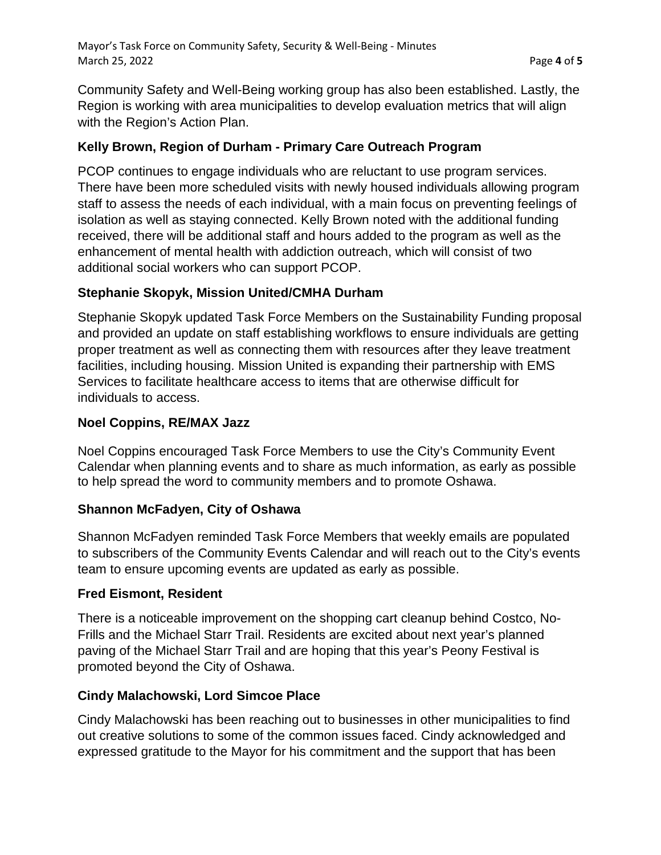Community Safety and Well-Being working group has also been established. Lastly, the Region is working with area municipalities to develop evaluation metrics that will align with the Region's Action Plan.

### **Kelly Brown, Region of Durham - Primary Care Outreach Program**

PCOP continues to engage individuals who are reluctant to use program services. There have been more scheduled visits with newly housed individuals allowing program staff to assess the needs of each individual, with a main focus on preventing feelings of isolation as well as staying connected. Kelly Brown noted with the additional funding received, there will be additional staff and hours added to the program as well as the enhancement of mental health with addiction outreach, which will consist of two additional social workers who can support PCOP.

### **Stephanie Skopyk, Mission United/CMHA Durham**

Stephanie Skopyk updated Task Force Members on the Sustainability Funding proposal and provided an update on staff establishing workflows to ensure individuals are getting proper treatment as well as connecting them with resources after they leave treatment facilities, including housing. Mission United is expanding their partnership with EMS Services to facilitate healthcare access to items that are otherwise difficult for individuals to access.

### **Noel Coppins, RE/MAX Jazz**

Noel Coppins encouraged Task Force Members to use the City's Community Event Calendar when planning events and to share as much information, as early as possible to help spread the word to community members and to promote Oshawa.

### **Shannon McFadyen, City of Oshawa**

Shannon McFadyen reminded Task Force Members that weekly emails are populated to subscribers of the Community Events Calendar and will reach out to the City's events team to ensure upcoming events are updated as early as possible.

### **Fred Eismont, Resident**

There is a noticeable improvement on the shopping cart cleanup behind Costco, No-Frills and the Michael Starr Trail. Residents are excited about next year's planned paving of the Michael Starr Trail and are hoping that this year's Peony Festival is promoted beyond the City of Oshawa.

### **Cindy Malachowski, Lord Simcoe Place**

Cindy Malachowski has been reaching out to businesses in other municipalities to find out creative solutions to some of the common issues faced. Cindy acknowledged and expressed gratitude to the Mayor for his commitment and the support that has been